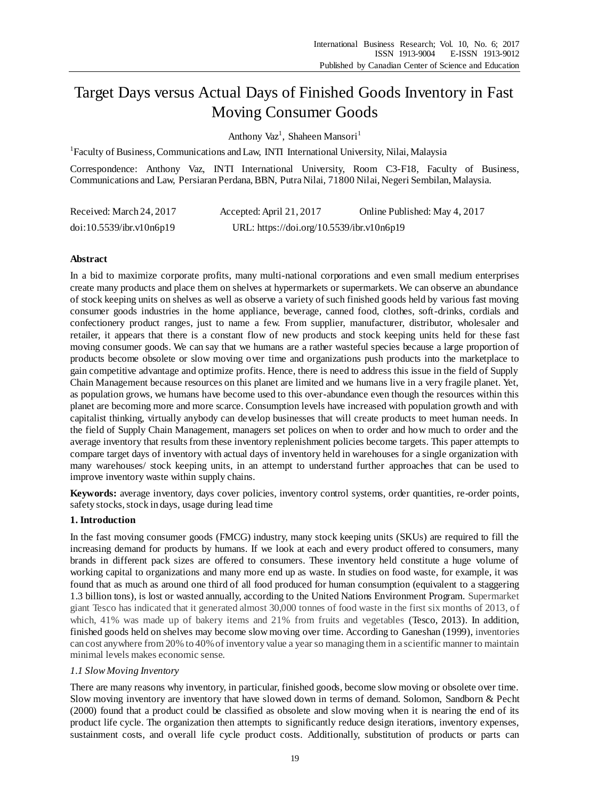# Target Days versus Actual Days of Finished Goods Inventory in Fast Moving Consumer Goods

Anthony Vaz<sup>1</sup>, Shaheen Mansori<sup>1</sup>

<sup>1</sup> Faculty of Business, Communications and Law, INTI International University, Nilai, Malaysia

Correspondence: Anthony Vaz, INTI International University, Room C3-F18, Faculty of Business, Communications and Law, Persiaran Perdana, BBN, Putra Nilai, 71800 Nilai, Negeri Sembilan, Malaysia.

| Received: March 24, 2017 | Accepted: April 21, 2017                  | Online Published: May 4, 2017 |
|--------------------------|-------------------------------------------|-------------------------------|
| doi:10.5539/ibr.v10n6p19 | URL: https://doi.org/10.5539/ibr.v10n6p19 |                               |

## **Abstract**

In a bid to maximize corporate profits, many multi-national corporations and even small medium enterprises create many products and place them on shelves at hypermarkets or supermarkets. We can observe an abundance of stock keeping units on shelves as well as observe a variety of such finished goods held by various fast moving consumer goods industries in the home appliance, beverage, canned food, clothes, soft-drinks, cordials and confectionery product ranges, just to name a few. From supplier, manufacturer, distributor, wholesaler and retailer, it appears that there is a constant flow of new products and stock keeping units held for these fast moving consumer goods. We can say that we humans are a rather wasteful species because a large proportion of products become obsolete or slow moving over time and organizations push products into the marketplace to gain competitive advantage and optimize profits. Hence, there is need to address this issue in the field of Supply Chain Management because resources on this planet are limited and we humans live in a very fragile planet. Yet, as population grows, we humans have become used to this over-abundance even though the resources within this planet are becoming more and more scarce. Consumption levels have increased with population growth and with capitalist thinking, virtually anybody can develop businesses that will create products to meet human needs. In the field of Supply Chain Management, managers set polices on when to order and how much to order and the average inventory that results from these inventory replenishment policies become targets. This paper attempts to compare target days of inventory with actual days of inventory held in warehouses for a single organization with many warehouses/ stock keeping units, in an attempt to understand further approaches that can be used to improve inventory waste within supply chains.

**Keywords:** average inventory, days cover policies, inventory control systems, order quantities, re-order points, safety stocks, stock in days, usage during lead time

## **1. Introduction**

In the fast moving consumer goods (FMCG) industry, many stock keeping units (SKUs) are required to fill the increasing demand for products by humans. If we look at each and every product offered to consumers, many brands in different pack sizes are offered to consumers. These inventory held constitute a huge volume of working capital to organizations and many more end up as waste. In studies on food waste, for example, it was found that as much as around one third of all food produced for human consumption (equivalent to a staggering 1.3 billion tons), is lost or wasted annually, according to the United Nations Environment Program. Supermarket giant Tesco has indicated that it generated almost 30,000 tonnes of food waste in the first six months of 2013, of which, 41% was made up of bakery items and 21% from fruits and vegetables (Tesco, 2013). In addition, finished goods held on shelves may become slow moving over time. According to Ganeshan (1999), inventories can cost anywhere from 20% to 40% of inventory value a year so managing them in a scientific manner to maintain minimal levels makes economic sense.

## *1.1 Slow Moving Inventory*

There are many reasons why inventory, in particular, finished goods, become slow moving or obsolete over time. Slow moving inventory are inventory that have slowed down in terms of demand. Solomon, Sandborn & Pecht (2000) found that a product could be classified as obsolete and slow moving when it is nearing the end of its product life cycle. The organization then attempts to significantly reduce design iterations, inventory expenses, sustainment costs, and overall life cycle product costs. Additionally, substitution of products or parts can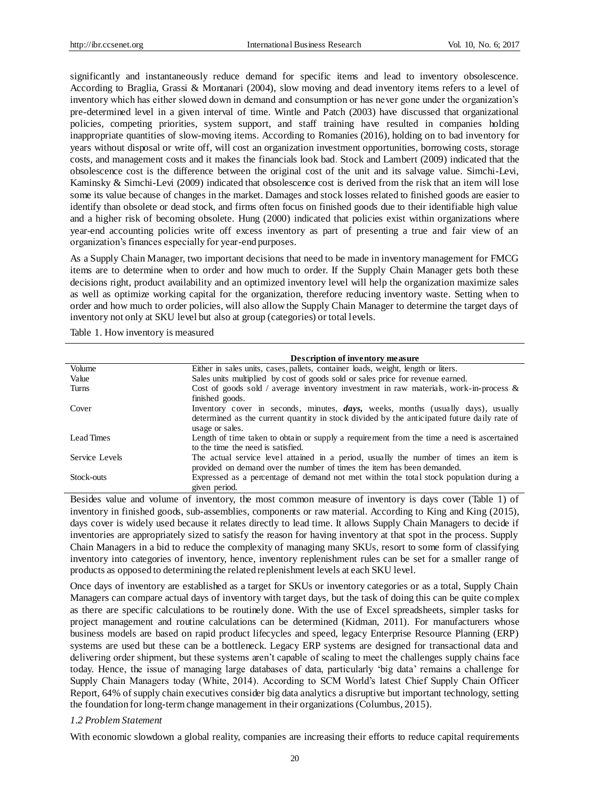significantly and instantaneously reduce demand for specific items and lead to inventory obsolescence. According to Braglia, Grassi & Montanari (2004), slow moving and dead inventory items refers to a level of inventory which has either slowed down in demand and consumption or has never gone under the organization's pre-determined level in a given interval of time. Wintle and Patch (2003) have discussed that organizational policies, competing priorities, system support, and staff training have resulted in companies holding inappropriate quantities of slow-moving items. According to [Romanies](https://www.allbusiness.com/author/michael-romanies) (2016), holding on to bad inventory for years without disposal or write off, will cost an organization investment opportunities, borrowing costs, storage costs, and management costs and it makes the financials look bad. Stock and Lambert (2009) indicated that the obsolescence cost is the difference between the original cost of the unit and its salvage value. Simchi-Levi, Kaminsky & Simchi-Levi (2009) indicated that obsolescence cost is derived from the risk that an item will lose some its value because of changes in the market. Damages and stock losses related to finished goods are easier to identify than obsolete or dead stock, and firms often focus on finished goods due to their identifiable high value and a higher risk of becoming obsolete. Hung (2000) indicated that policies exist within organizations where year-end accounting policies write off excess inventory as part of presenting a true and fair view of an organization's finances especially for year-end purposes.

As a Supply Chain Manager, two important decisions that need to be made in inventory management for FMCG items are to determine when to order and how much to order. If the Supply Chain Manager gets both these decisions right, product availability and an optimized inventory level will help the organization maximize sales as well as optimize working capital for the organization, therefore reducing inventory waste. Setting when to order and how much to order policies, will also allow the Supply Chain Manager to determine the target days of inventory not only at SKU level but also at group (categories) or total levels.

Table 1. How inventory is measured

|                | Description of inventory measure                                                                                                                                                                           |
|----------------|------------------------------------------------------------------------------------------------------------------------------------------------------------------------------------------------------------|
| Volume         | Either in sales units, cases, pallets, container loads, weight, length or liters.                                                                                                                          |
| Value          | Sales units multiplied by cost of goods sold or sales price for revenue earned.                                                                                                                            |
| Turns          | Cost of goods sold / average inventory investment in raw materials, work-in-process $\&$<br>finished goods.                                                                                                |
| Cover          | Inventory cover in seconds, minutes, <i>days</i> , weeks, months (usually days), usually<br>determined as the current quantity in stock divided by the anticipated future daily rate of<br>usage or sales. |
| Lead Times     | Length of time taken to obtain or supply a requirement from the time a need is ascertained<br>to the time the need is satisfied.                                                                           |
| Service Levels | The actual service level attained in a period, usually the number of times an item is<br>provided on demand over the number of times the item has been demanded.                                           |
| Stock-outs     | Expressed as a percentage of demand not met within the total stock population during a<br>given period.                                                                                                    |

Besides value and volume of inventory, the most common measure of inventory is days cover (Table 1) of inventory in finished goods, sub-assemblies, components or raw material. According to King and King (2015), days cover is widely used because it relates directly to lead time. It allows Supply Chain Managers to decide if inventories are appropriately sized to satisfy the reason for having inventory at that spot in the process. Supply Chain Managers in a bid to reduce the complexity of managing many SKUs, resort to some form of classifying inventory into categories of inventory, hence, inventory replenishment rules can be set for a smaller range of products as opposed to determining the related replenishment levels at each SKU level.

Once days of inventory are established as a target for SKUs or inventory categories or as a total, Supply Chain Managers can compare actual days of inventory with target days, but the task of doing this can be quite complex as there are specific calculations to be routinely done. With the use of Excel spreadsheets, simpler tasks for project management and routine calculations can be determined (Kidman, 2011). For manufacturers whose business models are based on rapid product lifecycles and speed, legacy Enterprise Resource Planning (ERP) systems are used but these can be a bottleneck. Legacy ERP systems are designed for transactional data and delivering order shipment, but these systems aren't capable of scaling to meet the challenges supply chains face today. Hence, the issue of managing large databases of data, particularly 'big data' remains a challenge for Supply Chain Managers today (White, 2014). According to SCM World's latest Chief Supply Chain Officer Report, 64% of supply chain executives consider big data analytics a disruptive but important technology, setting the foundation for long-term change management in their organizations (Columbus, 2015).

#### *1.2 Problem Statement*

With economic slowdown a global reality, companies are increasing their efforts to reduce capital requirements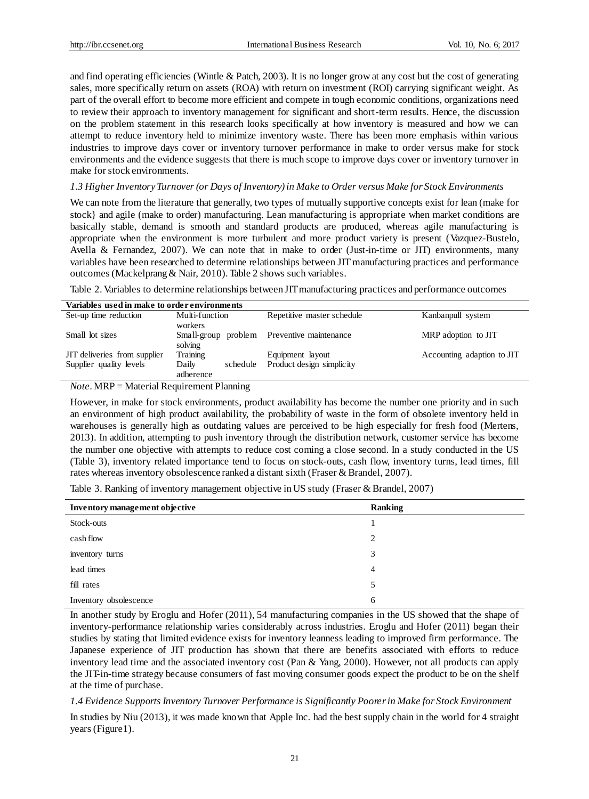and find operating efficiencies (Wintle & Patch, 2003). It is no longer grow at any cost but the cost of generating sales, more specifically return on assets (ROA) with return on investment (ROI) carrying significant weight. As part of the overall effort to become more efficient and compete in tough economic conditions, organizations need to review their approach to inventory management for significant and short-term results. Hence, the discussion on the problem statement in this research looks specifically at how inventory is measured and how we can attempt to reduce inventory held to minimize inventory waste. There has been more emphasis within various industries to improve days cover or inventory turnover performance in make to order versus make for stock environments and the evidence suggests that there is much scope to improve days cover or inventory turnover in make for stock environments.

#### *1.3 Higher Inventory Turnover (or Days of Inventory) in Make to Order versus Make for Stock Environments*

We can note from the literature that generally, two types of mutually supportive concepts exist for lean (make for stock} and agile (make to order) manufacturing. Lean manufacturing is appropriate when market conditions are basically stable, demand is smooth and standard products are produced, whereas agile manufacturing is appropriate when the environment is more turbulent and more product variety is present (Vazquez-Bustelo, Avella & Fernandez*,* 2007). We can note that in make to order (Just-in-time or JIT) environments, many variables have been researched to determine relationships between JIT manufacturing practices and performance outcomes (Mackelprang & Nair, 2010). Table 2 shows such variables.

Table 2. Variables to determine relationships between JIT manufacturing practices and performance outcomes

| Variables used in make to order environments |                           |                                            |                            |  |  |  |  |  |  |  |
|----------------------------------------------|---------------------------|--------------------------------------------|----------------------------|--|--|--|--|--|--|--|
| Set-up time reduction                        | Multi-function<br>workers | Repetitive master schedule                 | Kanbanpull system          |  |  |  |  |  |  |  |
| Small lot sizes                              | solving                   | Small-group problem Preventive maintenance | MRP adoption to JIT        |  |  |  |  |  |  |  |
| JIT deliveries from supplier                 | Training                  | Equipment layout                           | Accounting adaption to JIT |  |  |  |  |  |  |  |
| Supplier quality levels                      | Daily                     | schedule Product design simplicity         |                            |  |  |  |  |  |  |  |
|                                              | adherence                 |                                            |                            |  |  |  |  |  |  |  |

*Note*. MRP = Material Requirement Planning

However, in make for stock environments, product availability has become the number one priority and in such an environment of high product availability, the probability of waste in the form of obsolete inventory held in warehouses is generally high as outdating values are perceived to be high especially for fresh food (Mertens, 2013). In addition, attempting to push inventory through the distribution network, customer service has become the number one objective with attempts to reduce cost coming a close second. In a study conducted in the US (Table 3), inventory related importance tend to focus on stock-outs, cash flow, inventory turns, lead times, fill rates whereas inventory obsolescence ranked a distant sixth (Fraser & Brandel, 2007).

Table 3. Ranking of inventory management objective in US study (Fraser & Brandel, 2007)

| Inventory management objective | <b>Ranking</b> |
|--------------------------------|----------------|
| Stock-outs                     |                |
| cash flow                      | 2              |
| inventory turns                | 3              |
| lead times                     | 4              |
| fill rates                     | 5              |
| Inventory obsolescence         | 6              |

In another study by Eroglu and Hofer (2011), 54 manufacturing companies in the US showed that the shape of inventory-performance relationship varies considerably across industries. Eroglu and Hofer (2011) began their studies by stating that limited evidence exists for inventory leanness leading to improved firm performance. The Japanese experience of JIT production has shown that there are benefits associated with efforts to reduce inventory lead time and the associated inventory cost (Pan & Yang, 2000). However, not all products can apply the JIT-in-time strategy because consumers of fast moving consumer goods expect the product to be on the shelf at the time of purchase.

*1.4 Evidence Supports Inventory Turnover Performance is Significantly Poorer in Make for Stock Environment*

In studies by Niu (2013), it was made known that Apple Inc. had the best supply chain in the world for 4 straight years (Figure1).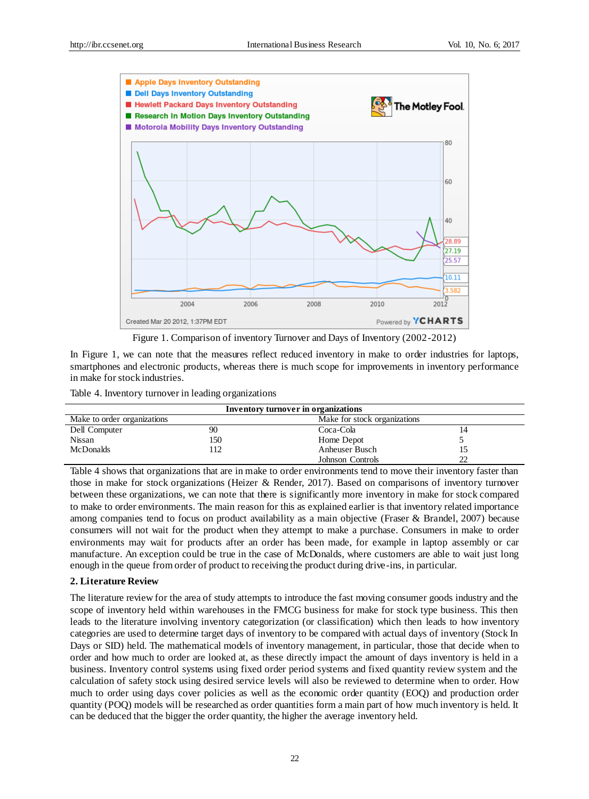

Figure 1. Comparison of inventory Turnover and Days of Inventory (2002-2012)

In Figure 1, we can note that the measures reflect reduced inventory in make to order industries for laptops, smartphones and electronic products, whereas there is much scope for improvements in inventory performance in make for stock industries.

Table 4. Inventory turnover in leading organizations

| <b>Inventory turnover in organizations</b>                  |     |                  |  |  |  |  |  |  |
|-------------------------------------------------------------|-----|------------------|--|--|--|--|--|--|
| Make to order organizations<br>Make for stock organizations |     |                  |  |  |  |  |  |  |
| Dell Computer                                               | 90  | Coca-Cola        |  |  |  |  |  |  |
| Nissan                                                      | 150 | Home Depot       |  |  |  |  |  |  |
| <b>McDonalds</b>                                            | 12  | Anheuser Busch   |  |  |  |  |  |  |
|                                                             |     | Johnson Controls |  |  |  |  |  |  |

Table 4 shows that organizations that are in make to order environments tend to move their inventory faster than those in make for stock organizations (Heizer & Render, 2017). Based on comparisons of inventory turnover between these organizations, we can note that there is significantly more inventory in make for stock compared to make to order environments. The main reason for this as explained earlier is that inventory related importance among companies tend to focus on product availability as a main objective (Fraser & Brandel, 2007) because consumers will not wait for the product when they attempt to make a purchase. Consumers in make to order environments may wait for products after an order has been made, for example in laptop assembly or car manufacture. An exception could be true in the case of McDonalds, where customers are able to wait just long enough in the queue from order of product to receiving the product during drive-ins, in particular.

## **2. Literature Review**

The literature review for the area of study attempts to introduce the fast moving consumer goods industry and the scope of inventory held within warehouses in the FMCG business for make for stock type business. This then leads to the literature involving inventory categorization (or classification) which then leads to how inventory categories are used to determine target days of inventory to be compared with actual days of inventory (Stock In Days or SID) held. The mathematical models of inventory management, in particular, those that decide when to order and how much to order are looked at, as these directly impact the amount of days inventory is held in a business. Inventory control systems using fixed order period systems and fixed quantity review system and the calculation of safety stock using desired service levels will also be reviewed to determine when to order. How much to order using days cover policies as well as the economic order quantity (EOQ) and production order quantity (POQ) models will be researched as order quantities form a main part of how much inventory is held. It can be deduced that the bigger the order quantity, the higher the average inventory held.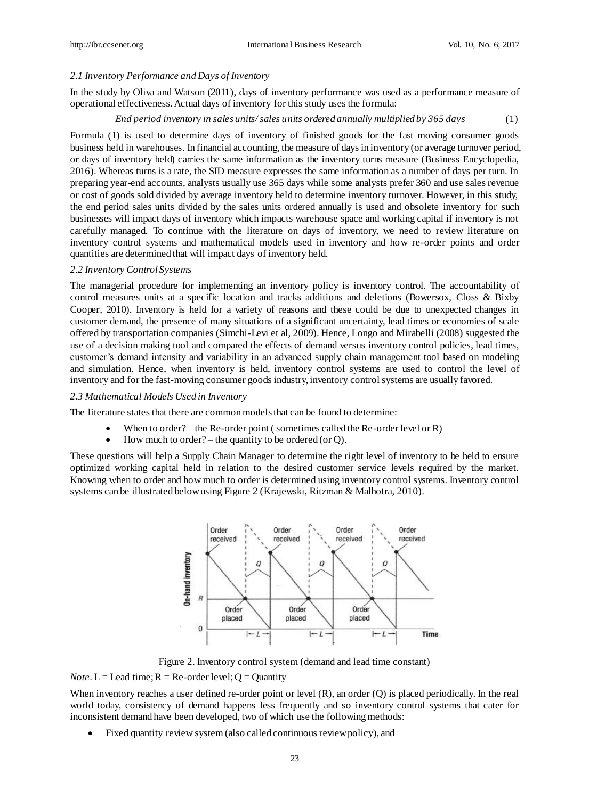#### *2.1 Inventory Performance and Days of Inventory*

In the study by Oliva and Watson (2011), days of inventory performance was used as a performance measure of operational effectiveness. Actual days of inventory for this study uses the formula:

 *End period inventory in sales units/ sales units ordered annually multiplied by 365 days* (1)

Formula (1) is used to determine days of inventory of finished goods for the fast moving consumer goods business held in warehouses. In financial accounting, the measure of days in inventory (or average turnover period, or days of inventory held) carries the same information as the inventory turns measure (Business Encyclopedia, 2016). Whereas turns is a rate, the SID measure expresses the same information as a number of days per turn. In preparing year-end accounts, analysts usually use 365 days while some analysts prefer 360 and use sales revenue or cost of goods sold divided by average inventory held to determine inventory turnover. However, in this study, the end period sales units divided by the sales units ordered annually is used and obsolete inventory for such businesses will impact days of inventory which impacts warehouse space and working capital if inventory is not carefully managed. To continue with the literature on days of inventory, we need to review literature on inventory control systems and mathematical models used in inventory and how re-order points and order quantities are determined that will impact days of inventory held.

#### *2.2 Inventory Control Systems*

The managerial procedure for implementing an inventory policy is inventory control. The accountability of control measures units at a specific location and tracks additions and deletions (Bowersox, Closs & Bixby Cooper*,* 2010). Inventory is held for a variety of reasons and these could be due to unexpected changes in customer demand, the presence of many situations of a significant uncertainty, lead times or economies of scale offered by transportation companies (Simchi-Levi et al, 2009). Hence, Longo and Mirabelli (2008) suggested the use of a decision making tool and compared the effects of demand versus inventory control policies, lead times, customer's demand intensity and variability in an advanced supply chain management tool based on modeling and simulation. Hence, when inventory is held, inventory control systems are used to control the level of inventory and for the fast-moving consumer goods industry, inventory control systems are usually favored.

#### *2.3 Mathematical Models Used in Inventory*

The literature states that there are common models that can be found to determine:

- When to order? the Re-order point ( sometimes called the Re-order level or R)
- How much to order? the quantity to be ordered (or Q).

These questions will help a Supply Chain Manager to determine the right level of inventory to be held to ensure optimized working capital held in relation to the desired customer service levels required by the market. Knowing when to order and how much to order is determined using inventory control systems. Inventory control systems can be illustrated below using Figure 2 (Krajewski, Ritzman & Malhotra, 2010).



Figure 2. Inventory control system (demand and lead time constant)

*Note*. L = Lead time;  $R = Re$ -order level;  $Q =$ Quantity

When inventory reaches a user defined re-order point or level  $(R)$ , an order  $(Q)$  is placed periodically. In the real world today, consistency of demand happens less frequently and so inventory control systems that cater for inconsistent demand have been developed, two of which use the following methods:

Fixed quantity review system (also called continuous review policy), and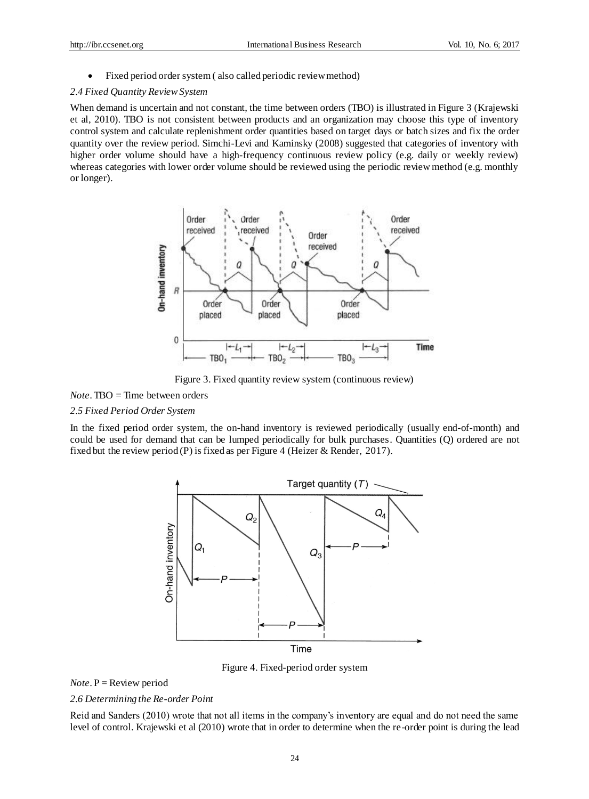Fixed period order system ( also called periodic review method)

## *2.4 Fixed Quantity Review System*

When demand is uncertain and not constant, the time between orders (TBO) is illustrated in Figure 3 (Krajewski et al, 2010). TBO is not consistent between products and an organization may choose this type of inventory control system and calculate replenishment order quantities based on target days or batch sizes and fix the order quantity over the review period. Simchi-Levi and Kaminsky (2008) suggested that categories of inventory with higher order volume should have a high-frequency continuous review policy (e.g. daily or weekly review) whereas categories with lower order volume should be reviewed using the periodic review method (e.g. monthly or longer).



Figure 3. Fixed quantity review system (continuous review)

## *Note*. TBO = Time between orders

# *2.5 Fixed Period Order System*

In the fixed period order system, the on-hand inventory is reviewed periodically (usually end-of-month) and could be used for demand that can be lumped periodically for bulk purchases. Quantities (Q) ordered are not fixed but the review period (P) is fixed as per Figure 4 (Heizer & Render, 2017).



Figure 4. Fixed-period order system

 $Note. P = Review period$ 

## *2.6 Determining the Re-order Point*

Reid and Sanders (2010) wrote that not all items in the company's inventory are equal and do not need the same level of control. Krajewski et al (2010) wrote that in order to determine when the re-order point is during the lead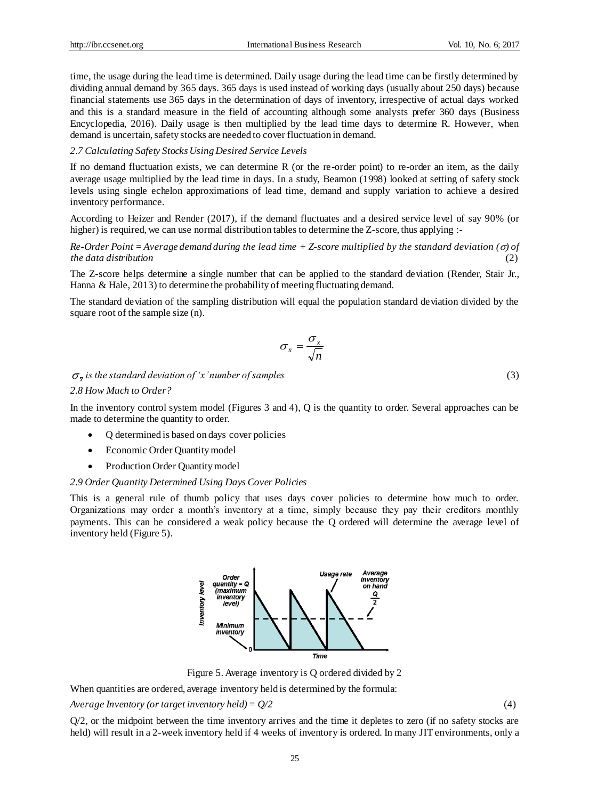time, the usage during the lead time is determined. Daily usage during the lead time can be firstly determined by dividing annual demand by 365 days. 365 days is used instead of working days (usually about 250 days) because financial statements use 365 days in the determination of days of inventory, irrespective of actual days worked and this is a standard measure in the field of accounting although some analysts prefer 360 days (Business Encyclopedia, 2016). Daily usage is then multiplied by the lead time days to determine R. However, when demand is uncertain, safety stocks are needed to cover fluctuation in demand.

#### *2.7 Calculating Safety Stocks Using Desired Service Levels*

If no demand fluctuation exists, we can determine R (or the re-order point) to re-order an item, as the daily average usage multiplied by the lead time in days. In a study, Beamon (1998) looked at setting of safety stock levels using single echelon approximations of lead time, demand and supply variation to achieve a desired inventory performance.

According to Heizer and Render (2017), if the demand fluctuates and a desired service level of say 90% (or higher) is required, we can use normal distribution tables to determine the Z-score, thus applying :-

#### *Re-Order Point = Average demand during the lead time + Z-score multiplied by the standard deviation () of the data distribution* (2)

The Z-score helps determine a single number that can be applied to the standard deviation (Render, Stair Jr., Hanna & Hale, 2013) to determine the probability of meeting fluctuating demand.

The standard deviation of the sampling distribution will equal the population standard deviation divided by the square root of the sample size (n).

$$
\sigma_{\bar{x}} = \frac{\sigma_{x}}{\sqrt{n}}
$$

 $\sigma_{\bar{x}}$  is the standard deviation of 'x' number of samples (3)

#### *2.8 How Much to Order?*

In the inventory control system model (Figures 3 and 4), Q is the quantity to order. Several approaches can be made to determine the quantity to order.

- Q determined is based on days cover policies
- Economic Order Quantity model
- Production Order Quantity model

#### *2.9 Order Quantity Determined Using Days Cover Policies*

This is a general rule of thumb policy that uses days cover policies to determine how much to order. Organizations may order a month's inventory at a time, simply because they pay their creditors monthly payments. This can be considered a weak policy because the Q ordered will determine the average level of inventory held (Figure 5).



Figure 5. Average inventory is Q ordered divided by 2

When quantities are ordered, average inventory held is determined by the formula:

*Average Inventory (or target inventory held) = Q/2* (4)

 $Q/2$ , or the midpoint between the time inventory arrives and the time it depletes to zero (if no safety stocks are held) will result in a 2-week inventory held if 4 weeks of inventory is ordered. In many JIT environments, only a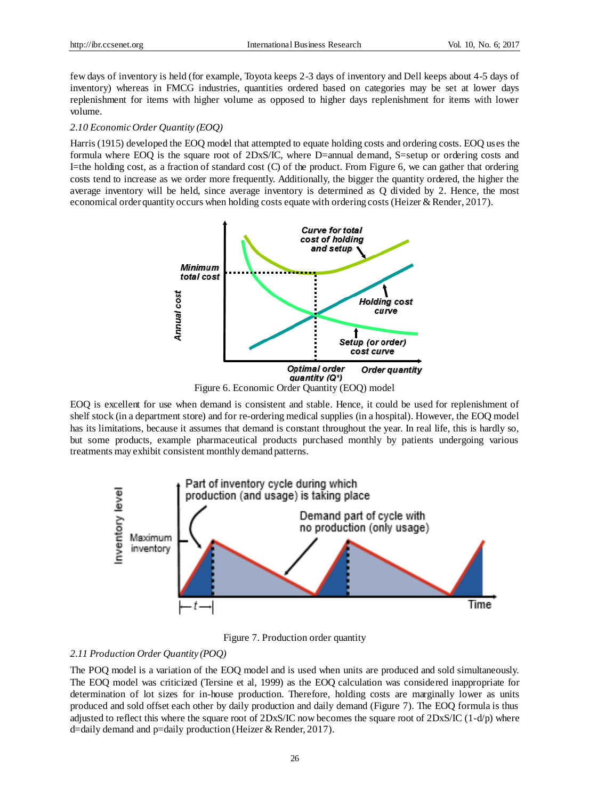few days of inventory is held (for example, Toyota keeps 2-3 days of inventory and Dell keeps about 4-5 days of inventory) whereas in FMCG industries, quantities ordered based on categories may be set at lower days replenishment for items with higher volume as opposed to higher days replenishment for items with lower volume.

#### *2.10 Economic Order Quantity (EOQ)*

Harris (1915) developed the EOQ model that attempted to equate holding costs and ordering costs. EOQ uses the formula where EOQ is the square root of 2DxS/IC, where D=annual demand, S=setup or ordering costs and I=the holding cost, as a fraction of standard cost (C) of the product. From Figure 6, we can gather that ordering costs tend to increase as we order more frequently. Additionally, the bigger the quantity ordered, the higher the average inventory will be held, since average inventory is determined as Q divided by 2. Hence, the most economical order quantity occurs when holding costs equate with ordering costs (Heizer & Render, 2017).



EOQ is excellent for use when demand is consistent and stable. Hence, it could be used for replenishment of shelf stock (in a department store) and for re-ordering medical supplies (in a hospital). However, the EOQ model has its limitations, because it assumes that demand is constant throughout the year. In real life, this is hardly so, but some products, example pharmaceutical products purchased monthly by patients undergoing various treatments may exhibit consistent monthly demand patterns.



Figure 7. Production order quantity

## *2.11 Production Order Quantity (POQ)*

The POQ model is a variation of the EOQ model and is used when units are produced and sold simultaneously. The EOQ model was criticized (Tersine et al, 1999) as the EOQ calculation was considered inappropriate for determination of lot sizes for in-house production. Therefore, holding costs are marginally lower as units produced and sold offset each other by daily production and daily demand (Figure 7). The EOQ formula is thus adjusted to reflect this where the square root of 2DxS/IC now becomes the square root of 2DxS/IC (1-d/p) where d=daily demand and p=daily production (Heizer & Render, 2017).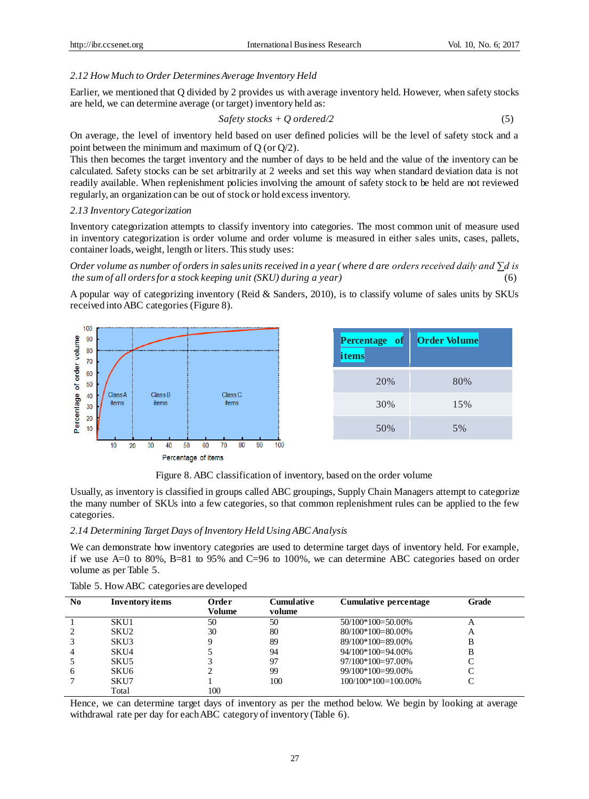# *2.12 How Much to Order Determines Average Inventory Held*

Earlier, we mentioned that Q divided by 2 provides us with average inventory held. However, when safety stocks are held, we can determine average (or target) inventory held as:

$$
Safety \, stocks + Q \, ordered/2 \tag{5}
$$

On average, the level of inventory held based on user defined policies will be the level of safety stock and a point between the minimum and maximum of Q (or Q/2).

This then becomes the target inventory and the number of days to be held and the value of the inventory can be calculated. Safety stocks can be set arbitrarily at 2 weeks and set this way when standard deviation data is not readily available. When replenishment policies involving the amount of safety stock to be held are not reviewed regularly, an organization can be out of stock or hold excess inventory.

#### *2.13 InventoryCategorization*

Inventory categorization attempts to classify inventory into categories. The most common unit of measure used in inventory categorization is order volume and order volume is measured in either sales units, cases, pallets, container loads, weight, length or liters. This study uses:

*Order volume as number of orders in sales units received in a year ( where d are orders received daily and ∑d is the sum of all orders for a stock keeping unit (SKU) during a year)* (6)

A popular way of categorizing inventory (Reid & Sanders, 2010), is to classify volume of sales units by SKUs received into ABC categories (Figure 8).



| Percentage of<br>items | <b>Order Volume</b> |
|------------------------|---------------------|
| 20%                    | 80%                 |
| 30%                    | 15%                 |
| 50%                    | 5%                  |

Figure 8. ABC classification of inventory, based on the order volume

Usually, as inventory is classified in groups called ABC groupings, Supply Chain Managers attempt to categorize the many number of SKUs into a few categories, so that common replenishment rules can be applied to the few categories.

## *2.14 Determining Target Days of Inventory Held Using ABC Analysis*

We can demonstrate how inventory categories are used to determine target days of inventory held. For example, if we use A=0 to 80%, B=81 to 95% and C=96 to 100%, we can determine ABC categories based on order volume as per Table 5.

| Table 5. How ABC categories are developed |
|-------------------------------------------|
|-------------------------------------------|

| N <sub>0</sub> | <b>Inventory items</b> | Order<br>Volume | Cumulative<br>volume | Cumulative percentage  | Grade |
|----------------|------------------------|-----------------|----------------------|------------------------|-------|
|                | <b>SKU1</b>            | 50              | 50                   | 50/100*100=50.00%      | А     |
|                | SKU <sub>2</sub>       | 30              | 80                   | 80/100*100=80.00%      | А     |
|                | SKU3                   |                 | 89                   | 89/100*100=89.00%      | B     |
| $\overline{4}$ | SKU4                   |                 | 94                   | $94/100*100=94.00\%$   | B     |
|                | SKU5                   |                 | 97                   | 97/100*100=97.00%      |       |
| 6              | SKU6                   |                 | 99                   | 99/100*100=99.00%      |       |
|                | SKU7                   |                 | 100                  | $100/100*100=100.00\%$ |       |
|                | Total                  | 100             |                      |                        |       |

Hence, we can determine target days of inventory as per the method below. We begin by looking at average withdrawal rate per day for each ABC category of inventory (Table 6).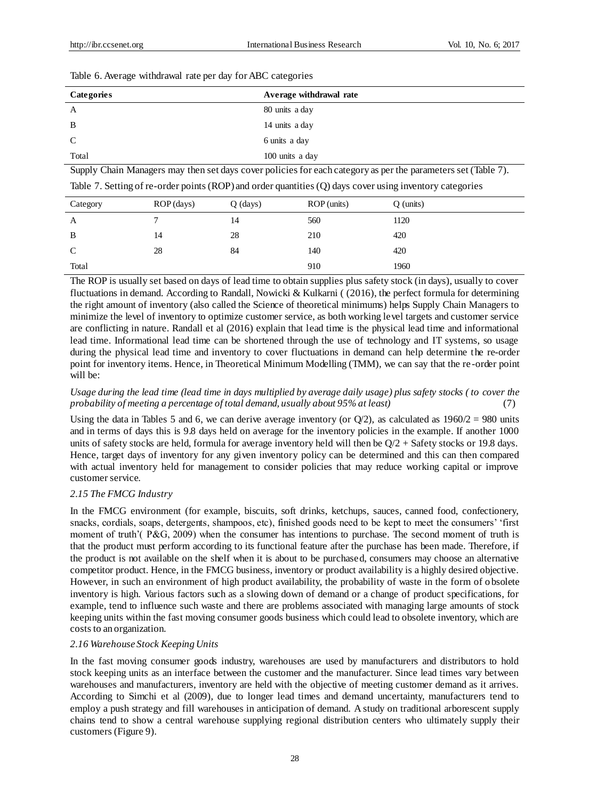| Categories  | Average withdrawal rate |  |
|-------------|-------------------------|--|
| A           | 80 units a day          |  |
| B           | 14 units a day          |  |
| $\mathbf C$ | 6 units a day           |  |
| Total       | 100 units a day         |  |

Table 6. Average withdrawal rate per day for ABC categories

Supply Chain Managers may then set days cover policies for each category as per the parameters set (Table 7). Table 7. Setting of re-order points (ROP) and order quantities (Q) days cover using inventory categories

| Category | ROP (days) | $Q$ (days) | $ROP$ (units) | $Q$ (units) |
|----------|------------|------------|---------------|-------------|
| A        |            | 14         | 560           | 1120        |
| B        | 14         | 28         | 210           | 420         |
| C        | 28         | 84         | 140           | 420         |
| Total    |            |            | 910           | 1960        |

The ROP is usually set based on days of lead time to obtain supplies plus safety stock (in days), usually to cover fluctuations in demand. According to Randall, Nowicki & Kulkarni ( (2016), the perfect formula for determining the right amount of inventory (also called the Science of theoretical minimums) helps Supply Chain Managers to minimize the level of inventory to optimize customer service, as both working level targets and customer service are conflicting in nature. Randall et al (2016) explain that lead time is the physical lead time and informational lead time. Informational lead time can be shortened through the use of technology and IT systems, so usage during the physical lead time and inventory to cover fluctuations in demand can help determine the re-order point for inventory items. Hence, in Theoretical Minimum Modelling (TMM), we can say that the re-order point will be:

*Usage during the lead time (lead time in days multiplied by average daily usage) plus safety stocks ( to cover the probability of meeting a percentage of total demand, usually about 95% at least)* (7)

Using the data in Tables 5 and 6, we can derive average inventory (or  $Q/2$ ), as calculated as  $1960/2 = 980$  units and in terms of days this is 9.8 days held on average for the inventory policies in the example. If another 1000 units of safety stocks are held, formula for average inventory held will then be  $Q/2$  + Safety stocks or 19.8 days. Hence, target days of inventory for any given inventory policy can be determined and this can then compared with actual inventory held for management to consider policies that may reduce working capital or improve customer service.

## *2.15 The FMCG Industry*

In the FMCG environment (for example, biscuits, soft drinks, ketchups, sauces, canned food, confectionery, snacks, cordials, soaps, detergents, shampoos, etc), finished goods need to be kept to meet the consumers' 'first moment of truth'( P&G, 2009) when the consumer has intentions to purchase. The second moment of truth is that the product must perform according to its functional feature after the purchase has been made. Therefore, if the product is not available on the shelf when it is about to be purchased, consumers may choose an alternative competitor product. Hence, in the FMCG business, inventory or product availability is a highly desired objective. However, in such an environment of high product availability, the probability of waste in the form of o bsolete inventory is high. Various factors such as a slowing down of demand or a change of product specifications, for example, tend to influence such waste and there are problems associated with managing large amounts of stock keeping units within the fast moving consumer goods business which could lead to obsolete inventory, which are costs to an organization.

## *2.16 Warehouse Stock Keeping Units*

In the fast moving consumer goods industry, warehouses are used by manufacturers and distributors to hold stock keeping units as an interface between the customer and the manufacturer. Since lead times vary between warehouses and manufacturers, inventory are held with the objective of meeting customer demand as it arrives. According to Simchi et al (2009), due to longer lead times and demand uncertainty, manufacturers tend to employ a push strategy and fill warehouses in anticipation of demand. A study on traditional arborescent supply chains tend to show a central warehouse supplying regional distribution centers who ultimately supply their customers (Figure 9).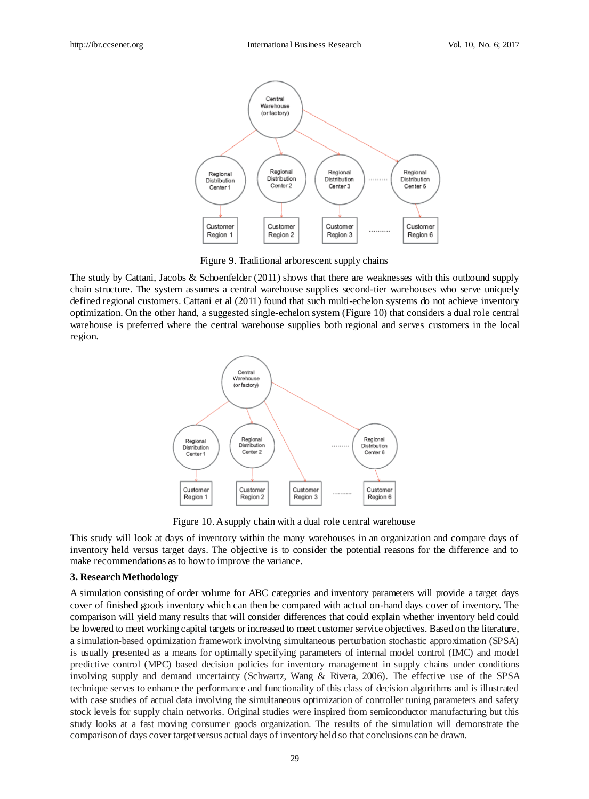

Figure 9. Traditional arborescent supply chains

The study by Cattani, Jacobs & Schoenfelder (2011) shows that there are weaknesses with this outbound supply chain structure. The system assumes a central warehouse supplies second-tier warehouses who serve uniquely defined regional customers. Cattani et al (2011) found that such multi-echelon systems do not achieve inventory optimization. On the other hand, a suggested single-echelon system (Figure 10) that considers a dual role central warehouse is preferred where the central warehouse supplies both regional and serves customers in the local region.



Figure 10. A supply chain with a dual role central warehouse

This study will look at days of inventory within the many warehouses in an organization and compare days of inventory held versus target days. The objective is to consider the potential reasons for the difference and to make recommendations as to how to improve the variance.

#### **3. Research Methodology**

A simulation consisting of order volume for ABC categories and inventory parameters will provide a target days cover of finished goods inventory which can then be compared with actual on-hand days cover of inventory. The comparison will yield many results that will consider differences that could explain whether inventory held could be lowered to meet working capital targets or increased to meet customer service objectives. Based on the literature, a simulation-based optimization framework involving simultaneous perturbation stochastic approximation (SPSA) is usually presented as a means for optimally specifying parameters of internal model control (IMC) and model predictive control (MPC) based decision policies for inventory management in supply chains under conditions involving supply and demand uncertainty (Schwartz, Wang & Rivera, 2006). The effective use of the SPSA technique serves to enhance the performance and functionality of this class of decision algorithms and is illustrated with case studies of actual data involving the simultaneous optimization of controller tuning parameters and safety stock levels for supply chain networks. Original studies were inspired from semiconductor manufacturing but this study looks at a fast moving consumer goods organization. The results of the simulation will demonstrate the comparison of days cover target versus actual days of inventory held so that conclusions can be drawn.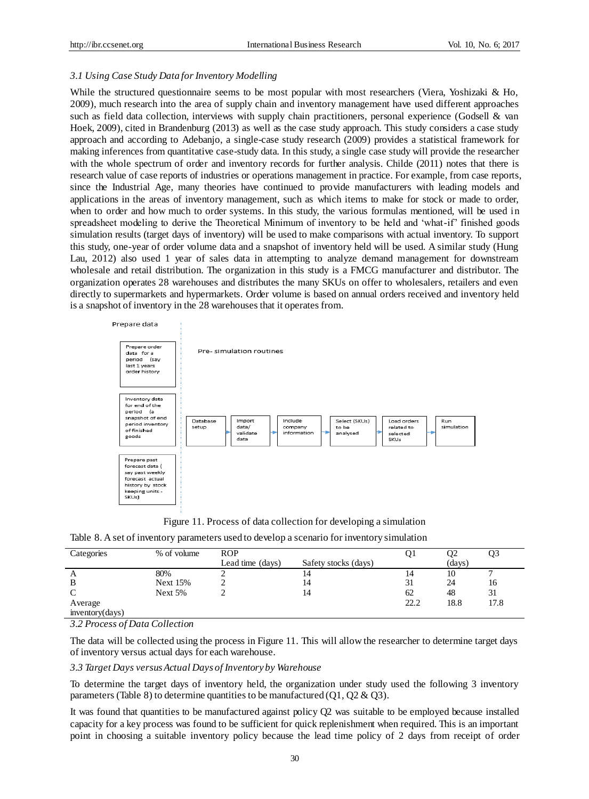#### *3.1 Using Case Study Data for Inventory Modelling*

While the structured questionnaire seems to be most popular with most researchers (Viera, Yoshizaki & Ho, 2009), much research into the area of supply chain and inventory management have used different approaches such as field data collection, interviews with supply chain practitioners, personal experience (Godsell & van Hoek, 2009), cited in Brandenburg (2013) as well as the case study approach. This study considers a case study approach and according to Adebanjo, a [single-case study research](http://en.wikipedia.org/wiki/Single-subject_research) (2009) provides a statistical framework for making inferences from quantitative case-study data. In this study, a single case study will provide the researcher with the whole spectrum of order and inventory records for further analysis. Childe (2011) notes that there is research value of case reports of industries or operations management in practice. For example, from case reports, since the Industrial Age, many theories have continued to provide manufacturers with leading models and applications in the areas of inventory management, such as which items to make for stock or made to order, when to order and how much to order systems. In this study, the various formulas mentioned, will be used in spreadsheet modeling to derive the Theoretical Minimum of inventory to be held and 'what-if' finished goods simulation results (target days of inventory) will be used to make comparisons with actual inventory. To support this study, one-year of order volume data and a snapshot of inventory held will be used. A similar study (Hung Lau, 2012) also used 1 year of sales data in attempting to analyze demand management for downstream wholesale and retail distribution. The organization in this study is a FMCG manufacturer and distributor. The organization operates 28 warehouses and distributes the many SKUs on offer to wholesalers, retailers and even directly to supermarkets and hypermarkets. Order volume is based on annual orders received and inventory held is a snapshot of inventory in the 28 warehouses that it operates from.



Figure 11. Process of data collection for developing a simulation

| Table 8. A set of inventory parameters used to develop a scenario for inventory simulation |  |  |  |  |  |  |  |  |  |  |  |  |  |
|--------------------------------------------------------------------------------------------|--|--|--|--|--|--|--|--|--|--|--|--|--|
|                                                                                            |  |  |  |  |  |  |  |  |  |  |  |  |  |

| Categories      | % of volume     | <b>ROP</b><br>Lead time (days) | Safety stocks (days) | QI   | Q2<br>(days) | Q3   |
|-----------------|-----------------|--------------------------------|----------------------|------|--------------|------|
| A               | 80%             |                                | 14                   | 14   | 10           |      |
| B               | <b>Next 15%</b> |                                | ،4                   | 31   | 24           | 16   |
|                 | Next 5%         |                                | 14                   | 62   | 48           | 31   |
| Average         |                 |                                |                      | 22.2 | 18.8         | 17.8 |
| inventory(days) |                 |                                |                      |      |              |      |

*3.2 Process of Data Collection*

The data will be collected using the process in Figure 11. This will allow the researcher to determine target days of inventory versus actual days for each warehouse.

#### *3.3 Target Days versus Actual Days of Inventory by Warehouse*

To determine the target days of inventory held, the organization under study used the following 3 inventory parameters (Table 8) to determine quantities to be manufactured  $(Q1, Q2 \& Q3)$ .

It was found that quantities to be manufactured against policy Q2 was suitable to be employed because installed capacity for a key process was found to be sufficient for quick replenishment when required. This is an important point in choosing a suitable inventory policy because the lead time policy of 2 days from receipt of order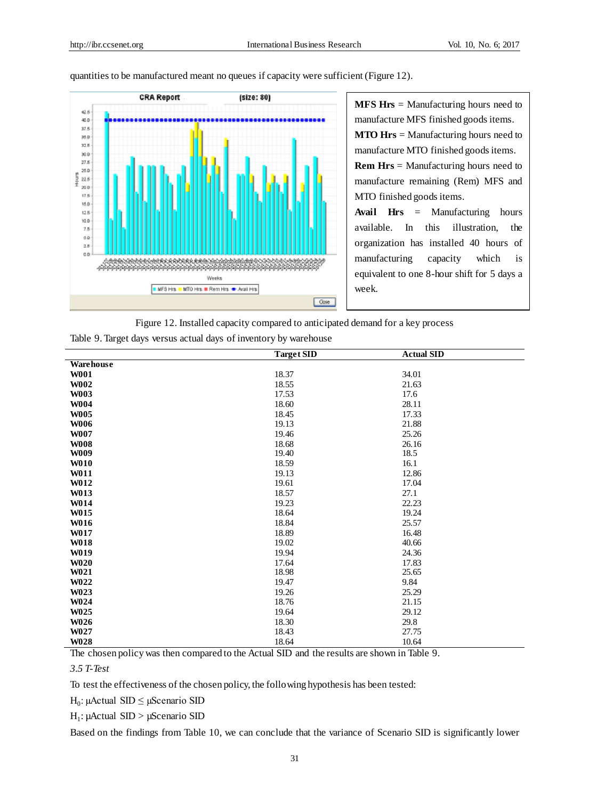quantities to be manufactured meant no queues if capacity were sufficient (Figure 12).



**MFS Hrs** = Manufacturing hours need to manufacture MFS finished goods items. **MTO Hrs** = Manufacturing hours need to manufacture MTO finished goods items. **Rem Hrs** = Manufacturing hours need to manufacture remaining (Rem) MFS and MTO finished goods items. **Avail Hrs** = Manufacturing hours available. In this illustration, the organization has installed 40 hours of manufacturing capacity which is equivalent to one 8-hour shift for 5 days a week.

Figure 12. Installed capacity compared to anticipated demand for a key process

|                   | <b>Target SID</b>      | <b>Actual SID</b> |
|-------------------|------------------------|-------------------|
| <b>Warehouse</b>  |                        |                   |
| <b>W001</b>       | 18.37                  | 34.01             |
| W002              | 18.55                  | 21.63             |
| W003              | 17.53                  | 17.6              |
| <b>W004</b>       | 18.60                  | 28.11             |
| <b>W005</b>       | 18.45                  | 17.33             |
| W006              | 19.13                  | 21.88             |
| W007              | 19.46                  | 25.26             |
| <b>W008</b>       | 18.68                  | 26.16             |
| W009              | 19.40                  | 18.5              |
| <b>W010</b>       | 18.59                  | 16.1              |
| W011              | 19.13                  | 12.86             |
| W012              | 19.61                  | 17.04             |
| W013              | 18.57                  | 27.1              |
| W014              | 19.23                  | 22.23             |
| W015              | 18.64                  | 19.24             |
| W016              | 18.84                  | 25.57             |
| W017              | 18.89                  | 16.48             |
| W018              | 19.02                  | 40.66             |
| W019              | 19.94                  | 24.36             |
| <b>W020</b>       | 17.64                  | 17.83             |
| W021              | 18.98                  | 25.65             |
| W022              | 19.47                  | 9.84              |
| W023              | 19.26                  | 25.29             |
| W024              | 18.76                  | 21.15             |
| W025              | 19.64                  | 29.12             |
| W026              | 18.30                  | 29.8              |
| W027              | 18.43                  | 27.75             |
| W028<br>$\ddotsc$ | 18.64<br>$\sim$ $\sim$ | 10.64             |

Table 9. Target days versus actual days of inventory by warehouse

The chosen policy was then compared to the Actual SID and the results are shown in Table 9.

*3.5 T-Test*

To test the effectiveness of the chosen policy, the following hypothesis has been tested:

 $H_0$ : µActual SID  $\leq \mu$ Scenario SID

 $H_1$ : µActual SID > µScenario SID

Based on the findings from Table 10, we can conclude that the variance of Scenario SID is significantly lower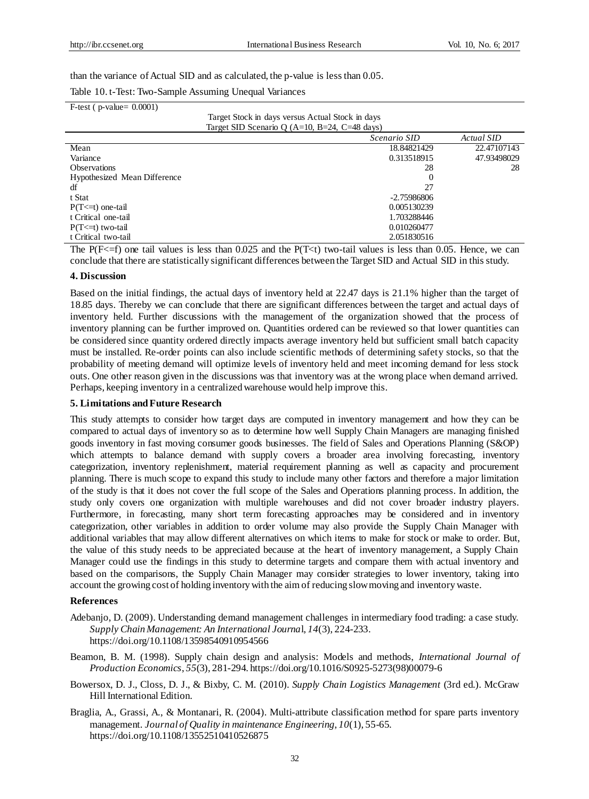than the variance of Actual SID and as calculated, the p-value is less than 0.05.

Table 10. t-Test: Two-Sample Assuming Unequal Variances

F-test ( p-value= 0.0001)

| Target Stock in days versus Actual Stock in days |  |  |  |
|--------------------------------------------------|--|--|--|
| Target SID Scenario Q (A=10, B=24, C=48 days)    |  |  |  |

| Scenario SID<br>Actual SID<br>22.47107143<br>18.84821429<br>Mean<br>Variance<br>47.93498029<br>0.313518915<br><b>Observations</b><br>28<br>28<br>Hypothesized Mean Difference<br>0<br>df<br>27<br>-2.75986806<br>t Stat<br>0.005130239<br>$P(T \le t)$ one-tail<br>t Critical one-tail<br>1.703288446<br>$P(T \le t)$ two-tail<br>0.010260477<br>t Critical two-tail<br>2.051830516 | $1.415$ . $5.126$ . $1.417$<br>$\sim$ $(11 - 10)$ |  |  |  |  |  |
|-------------------------------------------------------------------------------------------------------------------------------------------------------------------------------------------------------------------------------------------------------------------------------------------------------------------------------------------------------------------------------------|---------------------------------------------------|--|--|--|--|--|
|                                                                                                                                                                                                                                                                                                                                                                                     |                                                   |  |  |  |  |  |
|                                                                                                                                                                                                                                                                                                                                                                                     |                                                   |  |  |  |  |  |
|                                                                                                                                                                                                                                                                                                                                                                                     |                                                   |  |  |  |  |  |
|                                                                                                                                                                                                                                                                                                                                                                                     |                                                   |  |  |  |  |  |
|                                                                                                                                                                                                                                                                                                                                                                                     |                                                   |  |  |  |  |  |
|                                                                                                                                                                                                                                                                                                                                                                                     |                                                   |  |  |  |  |  |
|                                                                                                                                                                                                                                                                                                                                                                                     |                                                   |  |  |  |  |  |
|                                                                                                                                                                                                                                                                                                                                                                                     |                                                   |  |  |  |  |  |
|                                                                                                                                                                                                                                                                                                                                                                                     |                                                   |  |  |  |  |  |
|                                                                                                                                                                                                                                                                                                                                                                                     |                                                   |  |  |  |  |  |
|                                                                                                                                                                                                                                                                                                                                                                                     |                                                   |  |  |  |  |  |

The P(F $\le$ =f) one tail values is less than 0.025 and the P(T $\lt$ t) two-tail values is less than 0.05. Hence, we can conclude that there are statistically significant differences between the Target SID and Actual SID in this study.

#### **4. Discussion**

Based on the initial findings, the actual days of inventory held at 22.47 days is 21.1% higher than the target of 18.85 days. Thereby we can conclude that there are significant differences between the target and actual days of inventory held. Further discussions with the management of the organization showed that the process of inventory planning can be further improved on. Quantities ordered can be reviewed so that lower quantities can be considered since quantity ordered directly impacts average inventory held but sufficient small batch capacity must be installed. Re-order points can also include scientific methods of determining safety stocks, so that the probability of meeting demand will optimize levels of inventory held and meet incoming demand for less stock outs. One other reason given in the discussions was that inventory was at the wrong place when demand arrived. Perhaps, keeping inventory in a centralized warehouse would help improve this.

#### **5. Limitations and Future Research**

This study attempts to consider how target days are computed in inventory management and how they can be compared to actual days of inventory so as to determine how well Supply Chain Managers are managing finished goods inventory in fast moving consumer goods businesses. The field of Sales and Operations Planning (S&OP) which attempts to balance demand with supply covers a broader area involving forecasting, inventory categorization, inventory replenishment, material requirement planning as well as capacity and procurement planning. There is much scope to expand this study to include many other factors and therefore a major limitation of the study is that it does not cover the full scope of the Sales and Operations planning process. In addition, the study only covers one organization with multiple warehouses and did not cover broader industry players. Furthermore, in forecasting, many short term forecasting approaches may be considered and in inventory categorization, other variables in addition to order volume may also provide the Supply Chain Manager with additional variables that may allow different alternatives on which items to make for stock or make to order. But, the value of this study needs to be appreciated because at the heart of inventory management, a Supply Chain Manager could use the findings in this study to determine targets and compare them with actual inventory and based on the comparisons, the Supply Chain Manager may consider strategies to lower inventory, taking into account the growing cost of holding inventory with the aim of reducing slow moving and inventory waste.

# **References**

- Adebanjo, D. (2009). Understanding demand management challenges in intermediary food trading: a case study. *Supply Chain Management: An International Journa*l, *14*(3), 224-233. https://doi.org/10.1108/13598540910954566
- Beamon, B. M. (1998). Supply chain design and analysis: Models and methods, *International Journal of Production Economics*, *55*(3), 281-294. https://doi.org/10.1016/S0925-5273(98)00079-6
- Bowersox, D. J., Closs, D. J., & Bixby, C. M. (2010). *Supply Chain Logistics Management* (3rd ed.). McGraw Hill International Edition.
- Braglia, A., Grassi, A., & Montanari, R. (2004). Multi-attribute classification method for spare parts inventory management. *Journal of Quality in maintenance Engineering*, *10*(1), 55-65. https://doi.org/10.1108/13552510410526875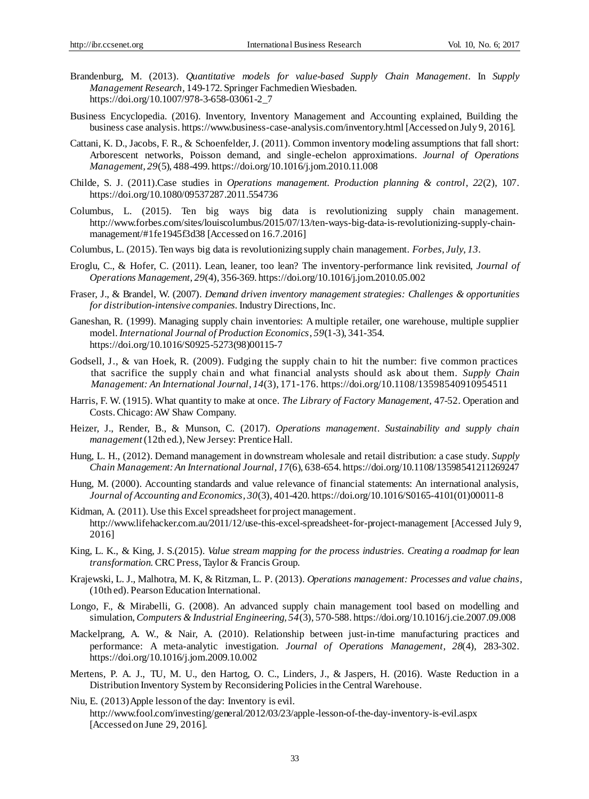- Brandenburg, M. (2013). *Quantitative models for value-based Supply Chain Management*. In *Supply Management Research,* 149-172. Springer Fachmedien Wiesbaden. https://doi.org/10.1007/978-3-658-03061-2\_7
- Business Encyclopedia. (2016). Inventory, Inventory Management and Accounting explained, Building the business case analysis. https://www.business-case-analysis.com/inventory.html [Accessed on July 9, 2016].
- Cattani, K. D., Jacobs, F. R., & Schoenfelder, J. (2011). Common inventory modeling assumptions that fall short: Arborescent networks, Poisson demand, and single-echelon approximations. *Journal of Operations Management, 29*(5), 488-499. https://doi.org/10.1016/j.jom.2010.11.008
- Childe, S. J. (2011).Case studies in *Operations management. Production planning & control*, *22*(2), 107. https://doi.org/10.1080/09537287.2011.554736
- Columbus, L. (2015). Ten big ways big data is revolutionizing supply chain management. [http://www.forbes.com/sites/louiscolumbus/2015/07/13/ten-ways-big-data-is-revolutionizing-supply-chain](http://www.forbes.com/sites/louiscolumbus/2015/07/13/ten-ways-big-data-is-revolutionizing-supply-chain-management/#1fe1945f3d38)[management/#1fe1945f3d38](http://www.forbes.com/sites/louiscolumbus/2015/07/13/ten-ways-big-data-is-revolutionizing-supply-chain-management/#1fe1945f3d38) [Accessed on 16.7.2016]
- Columbus, L. (2015). Ten ways big data is revolutionizing supply chain management. *Forbes, July*, *13*.
- Eroglu, C., & Hofer, C. (2011). Lean, leaner, too lean? The inventory-performance link revisited, *Journal of Operations Management*, *29*(4), 356-369. https://doi.org/10.1016/j.jom.2010.05.002
- Fraser, J., & Brandel, W. (2007). *Demand driven inventory management strategies: Challenges & opportunities for distribution-intensive companies.* Industry Directions, Inc.
- Ganeshan, R. (1999). Managing supply chain inventories: A multiple retailer, one warehouse, multiple supplier model.*International Journal of Production Economics*, *59*(1-3), 341-354. https://doi.org/10.1016/S0925-5273(98)00115-7
- Godsell, J., & van Hoek, R. (2009). Fudging the supply chain to hit the number: five common practices that sacrifice the supply chain and what financial analysts should ask about them. *Supply Chain Management: An International Journal*, *14*(3), 171-176. https://doi.org/10.1108/13598540910954511
- Harris, F. W. (1915). What quantity to make at once. *The Library of Factory Management,* 47-52. Operation and Costs. Chicago: AW Shaw Company.
- Heizer, J., Render, B., & Munson, C. (2017). *Operations management*. *Sustainability and supply chain management*(12th ed.), New Jersey: Prentice Hall.
- Hung, L. H., (2012). Demand management in downstream wholesale and retail distribution: a case study. *Supply Chain Management: An International Journal*, *17*(6), 638-654. https://doi.org/10.1108/13598541211269247
- Hung, M. (2000). Accounting standards and value relevance of financial statements: An international analysis, *Journal of Accounting and Economics*, *30*(3), 401-420. https://doi.org/10.1016/S0165-4101(01)00011-8
- Kidman, A. (2011). Use this Excel spreadsheet for project management. <http://www.lifehacker.com.au/2011/12/use-this-excel-spreadsheet-for-project-management> [Accessed July 9, 2016]
- King, L. K., & King, J. S.(2015). *Value stream mapping for the process industries. Creating a roadmap for lean transformation.* CRC Press, Taylor & Francis Group.
- Krajewski, L. J., Malhotra, M. K, & Ritzman, L. P. (2013). *Operations management: Processes and value chains*, (10th ed). Pearson Education International.
- Longo, F., & Mirabelli, G. (2008). An advanced supply chain management tool based on modelling and simulation, *Computers & Industrial Engineering, 54*(3), 570-588. https://doi.org/10.1016/j.cie.2007.09.008
- Mackelprang, A. W., & Nair, A. (2010). Relationship between just-in-time manufacturing practices and performance: A meta-analytic investigation. *Journal of Operations Management*, *28*(4), 283-302. https://doi.org/10.1016/j.jom.2009.10.002
- Mertens, P. A. J., TU, M. U., den Hartog, O. C., Linders, J., & Jaspers, H. (2016). Waste Reduction in a Distribution Inventory System by Reconsidering Policies in the Central Warehouse.
- Niu, E. (2013) Apple lesson of the day: Inventory is evil. <http://www.fool.com/investing/general/2012/03/23/apple-lesson-of-the-day-inventory-is-evil.aspx> [Accessed on June 29, 2016].